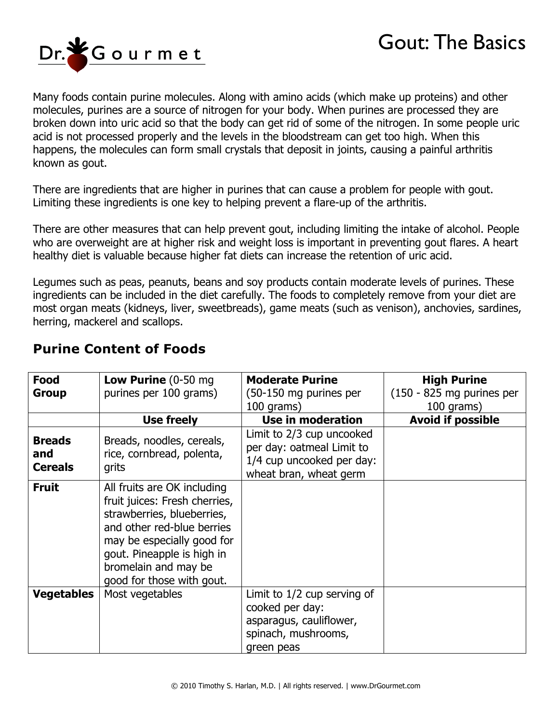

Many foods contain purine molecules. Along with amino acids (which make up proteins) and other molecules, purines are a source of nitrogen for your body. When purines are processed they are broken down into uric acid so that the body can get rid of some of the nitrogen. In some people uric acid is not processed properly and the levels in the bloodstream can get too high. When this happens, the molecules can form small crystals that deposit in joints, causing a painful arthritis known as gout.

There are ingredients that are higher in purines that can cause a problem for people with gout. Limiting these ingredients is one key to helping prevent a flare-up of the arthritis.

There are other measures that can help prevent gout, including limiting the intake of alcohol. People who are overweight are at higher risk and weight loss is important in preventing gout flares. A heart healthy diet is valuable because higher fat diets can increase the retention of uric acid.

Legumes such as peas, peanuts, beans and soy products contain moderate levels of purines. These ingredients can be included in the diet carefully. The foods to completely remove from your diet are most organ meats (kidneys, liver, sweetbreads), game meats (such as venison), anchovies, sardines, herring, mackerel and scallops.

| <b>Food</b>                            | <b>Low Purine</b> $(0-50$ mg                                                                                                                                                                                                              | <b>Moderate Purine</b>                                                                                           | <b>High Purine</b>                        |
|----------------------------------------|-------------------------------------------------------------------------------------------------------------------------------------------------------------------------------------------------------------------------------------------|------------------------------------------------------------------------------------------------------------------|-------------------------------------------|
| <b>Group</b>                           | purines per 100 grams)                                                                                                                                                                                                                    | (50-150 mg purines per<br>$100$ grams)                                                                           | $(150 - 825$ mg purines per<br>100 grams) |
|                                        | <b>Use freely</b>                                                                                                                                                                                                                         | <b>Use in moderation</b>                                                                                         | <b>Avoid if possible</b>                  |
| <b>Breads</b><br>and<br><b>Cereals</b> | Breads, noodles, cereals,<br>rice, cornbread, polenta,<br>grits                                                                                                                                                                           | Limit to 2/3 cup uncooked<br>per day: oatmeal Limit to<br>1/4 cup uncooked per day:<br>wheat bran, wheat germ    |                                           |
| <b>Fruit</b>                           | All fruits are OK including<br>fruit juices: Fresh cherries,<br>strawberries, blueberries,<br>and other red-blue berries<br>may be especially good for<br>gout. Pineapple is high in<br>bromelain and may be<br>good for those with gout. |                                                                                                                  |                                           |
| <b>Vegetables</b>                      | Most vegetables                                                                                                                                                                                                                           | Limit to $1/2$ cup serving of<br>cooked per day:<br>asparagus, cauliflower,<br>spinach, mushrooms,<br>green peas |                                           |

## **Purine Content of Foods**